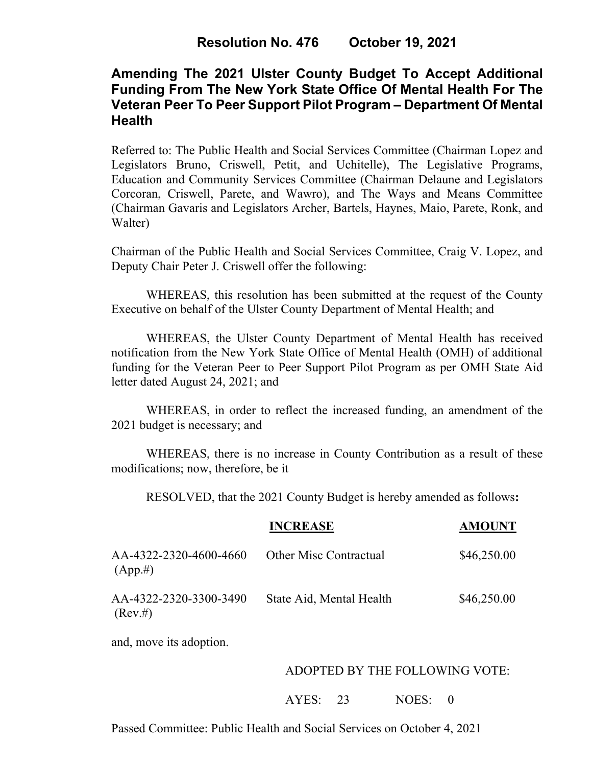# **Amending The 2021 Ulster County Budget To Accept Additional Funding From The New York State Office Of Mental Health For The Veteran Peer To Peer Support Pilot Program – Department Of Mental Health**

Referred to: The Public Health and Social Services Committee (Chairman Lopez and Legislators Bruno, Criswell, Petit, and Uchitelle), The Legislative Programs, Education and Community Services Committee (Chairman Delaune and Legislators Corcoran, Criswell, Parete, and Wawro), and The Ways and Means Committee (Chairman Gavaris and Legislators Archer, Bartels, Haynes, Maio, Parete, Ronk, and Walter)

Chairman of the Public Health and Social Services Committee, Craig V. Lopez, and Deputy Chair Peter J. Criswell offer the following:

WHEREAS, this resolution has been submitted at the request of the County Executive on behalf of the Ulster County Department of Mental Health; and

WHEREAS, the Ulster County Department of Mental Health has received notification from the New York State Office of Mental Health (OMH) of additional funding for the Veteran Peer to Peer Support Pilot Program as per OMH State Aid letter dated August 24, 2021; and

WHEREAS, in order to reflect the increased funding, an amendment of the 2021 budget is necessary; and

WHEREAS, there is no increase in County Contribution as a result of these modifications; now, therefore, be it

RESOLVED, that the 2021 County Budget is hereby amended as follows**:**

|                                       | <b>INCREASE</b>               | <b>AMOUNT</b> |
|---------------------------------------|-------------------------------|---------------|
| AA-4322-2320-4600-4660<br>$(App. \#)$ | <b>Other Misc Contractual</b> | \$46,250.00   |
| AA-4322-2320-3300-3490<br>$(Rev. \#)$ | State Aid, Mental Health      | \$46,250.00   |
| and, move its adoption.               |                               |               |

### ADOPTED BY THE FOLLOWING VOTE:

AYES: 23 NOES: 0

Passed Committee: Public Health and Social Services on October 4, 2021